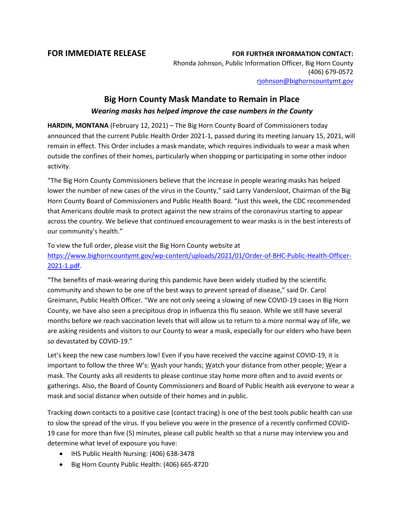## **FOR IMMEDIATE RELEASE FOR FURTHER INFORMATION CONTACT:**

Rhonda Johnson, Public Information Officer, Big Horn County (406) 679-0572 [rjohnson@bighorncountymt.gov](mailto:rjohnson@bighorncountymt.gov)

## **Big Horn County Mask Mandate to Remain in Place** *Wearing masks has helped improve the case numbers in the County*

**HARDIN, MONTANA** (February 12, 2021) – The Big Horn County Board of Commissioners today announced that the current Public Health Order 2021-1, passed during its meeting January 15, 2021, will remain in effect. This Order includes a mask mandate, which requires individuals to wear a mask when outside the confines of their homes, particularly when shopping or participating in some other indoor activity.

"The Big Horn County Commissioners believe that the increase in people wearing masks has helped lower the number of new cases of the virus in the County," said Larry Vandersloot, Chairman of the Big Horn County Board of Commissioners and Public Health Board. "Just this week, the CDC recommended that Americans double mask to protect against the new strains of the coronavirus starting to appear across the country. We believe that continued encouragement to wear masks is in the best interests of our community's health."

To view the full order, please visit the Big Horn County website at

[https://www.bighorncountymt.gov/wp-content/uploads/2021/01/Order-of-BHC-Public-Health-Officer-](https://www.bighorncountymt.gov/wp-content/uploads/2021/01/Order-of-BHC-Public-Health-Officer-2021-1.pdf)[2021-1.pdf.](https://www.bighorncountymt.gov/wp-content/uploads/2021/01/Order-of-BHC-Public-Health-Officer-2021-1.pdf)

"The benefits of mask-wearing during this pandemic have been widely studied by the scientific community and shown to be one of the best ways to prevent spread of disease," said Dr. Carol Greimann, Public Health Officer. "We are not only seeing a slowing of new COVID-19 cases in Big Horn County, we have also seen a precipitous drop in influenza this flu season. While we still have several months before we reach vaccination levels that will allow us to return to a more normal way of life, we are asking residents and visitors to our County to wear a mask, especially for our elders who have been so devastated by COVID-19."

Let's keep the new case numbers low! Even if you have received the vaccine against COVID-19, it is important to follow the three W's: Wash your hands; Watch your distance from other people; Wear a mask. The County asks all residents to please continue stay home more often and to avoid events or gatherings. Also, the Board of County Commissioners and Board of Public Health ask everyone to wear a mask and social distance when outside of their homes and in public.

Tracking down contacts to a positive case (contact tracing) is one of the best tools public health can use to slow the spread of the virus. If you believe you were in the presence of a recently confirmed COVID-19 case for more than five (5) minutes, please call public health so that a nurse may interview you and determine what level of exposure you have:

- IHS Public Health Nursing: (406) 638-3478
- Big Horn County Public Health: (406) 665-8720